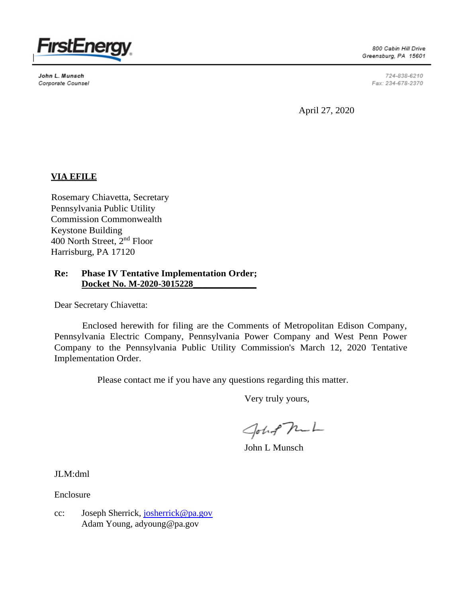

John L. Munsch Corporate Counsel

800 Cabin Hill Drive Greensburg, PA 15601

> 724-838-6210 Fax: 234-678-2370

April 27, 2020

# **VIA EFILE**

Rosemary Chiavetta, Secretary Pennsylvania Public Utility Commission Commonwealth Keystone Building 400 North Street, 2nd Floor Harrisburg, PA 17120

# **Re: Phase IV Tentative Implementation Order; Docket No. M-2020-3015228\_\_\_\_\_\_\_\_\_\_\_\_\_\_**

Dear Secretary Chiavetta:

Enclosed herewith for filing are the Comments of Metropolitan Edison Company, Pennsylvania Electric Company, Pennsylvania Power Company and West Penn Power Company to the Pennsylvania Public Utility Commission's March 12, 2020 Tentative Implementation Order.

Please contact me if you have any questions regarding this matter.

Very truly yours,

John Mul

John L Munsch

JLM:dml

Enclosure

cc: Joseph Sherrick, [josherrick@pa.gov](mailto:josherrick@pa.gov) Adam Young, adyoung@pa.gov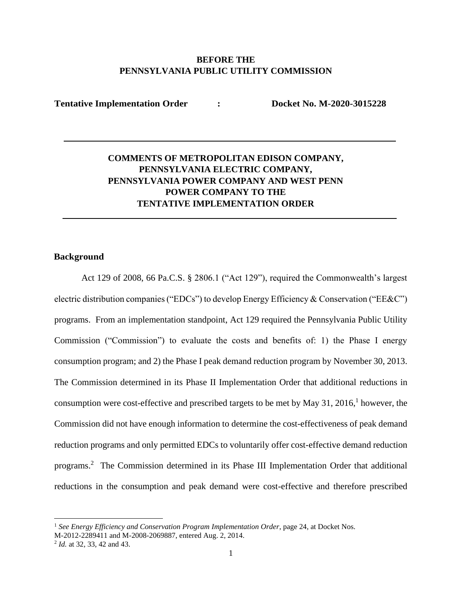# **BEFORE THE PENNSYLVANIA PUBLIC UTILITY COMMISSION**

**Tentative Implementation Order : Docket No. M-2020-3015228**

# **COMMENTS OF METROPOLITAN EDISON COMPANY, PENNSYLVANIA ELECTRIC COMPANY, PENNSYLVANIA POWER COMPANY AND WEST PENN POWER COMPANY TO THE TENTATIVE IMPLEMENTATION ORDER**

# **Background**

Act 129 of 2008, 66 Pa.C.S. § 2806.1 ("Act 129"), required the Commonwealth's largest electric distribution companies ("EDCs") to develop Energy Efficiency & Conservation ("EE&C") programs. From an implementation standpoint, Act 129 required the Pennsylvania Public Utility Commission ("Commission") to evaluate the costs and benefits of: 1) the Phase I energy consumption program; and 2) the Phase I peak demand reduction program by November 30, 2013. The Commission determined in its Phase II Implementation Order that additional reductions in consumption were cost-effective and prescribed targets to be met by May 31, 2016, 1 however, the Commission did not have enough information to determine the cost-effectiveness of peak demand reduction programs and only permitted EDCs to voluntarily offer cost-effective demand reduction programs. <sup>2</sup> The Commission determined in its Phase III Implementation Order that additional reductions in the consumption and peak demand were cost-effective and therefore prescribed

<sup>&</sup>lt;sup>1</sup> See Energy Efficiency and Conservation Program Implementation Order, page 24, at Docket Nos.

M-2012-2289411 and M-2008-2069887, entered Aug. 2, 2014.

<sup>2</sup> *Id.* at 32, 33, 42 and 43.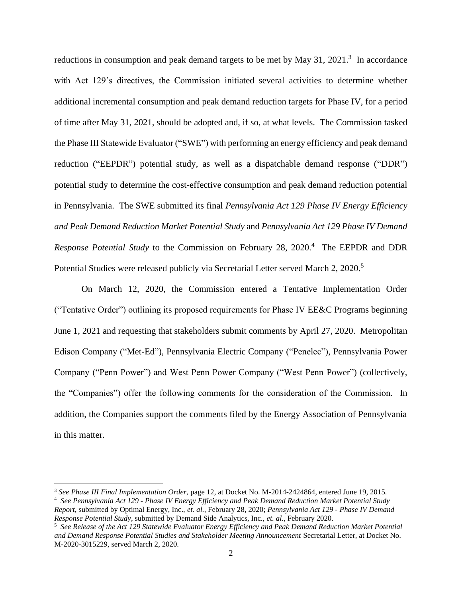reductions in consumption and peak demand targets to be met by May 31,  $2021$ .<sup>3</sup> In accordance with Act 129's directives, the Commission initiated several activities to determine whether additional incremental consumption and peak demand reduction targets for Phase IV, for a period of time after May 31, 2021, should be adopted and, if so, at what levels. The Commission tasked the Phase III Statewide Evaluator ("SWE") with performing an energy efficiency and peak demand reduction ("EEPDR") potential study, as well as a dispatchable demand response ("DDR") potential study to determine the cost-effective consumption and peak demand reduction potential in Pennsylvania. The SWE submitted its final *Pennsylvania Act 129 Phase IV Energy Efficiency and Peak Demand Reduction Market Potential Study* and *Pennsylvania Act 129 Phase IV Demand Response Potential Study* to the Commission on February 28, 2020.<sup>4</sup> The EEPDR and DDR Potential Studies were released publicly via Secretarial Letter served March 2, 2020.<sup>5</sup>

On March 12, 2020, the Commission entered a Tentative Implementation Order ("Tentative Order") outlining its proposed requirements for Phase IV EE&C Programs beginning June 1, 2021 and requesting that stakeholders submit comments by April 27, 2020. Metropolitan Edison Company ("Met-Ed"), Pennsylvania Electric Company ("Penelec"), Pennsylvania Power Company ("Penn Power") and West Penn Power Company ("West Penn Power") (collectively, the "Companies") offer the following comments for the consideration of the Commission. In addition, the Companies support the comments filed by the Energy Association of Pennsylvania in this matter.

<sup>3</sup> *See Phase III Final Implementation Order,* page 12, at Docket No. M-2014-2424864, entered June 19, 2015.

<sup>4</sup> *See Pennsylvania Act 129 - Phase IV Energy Efficiency and Peak Demand Reduction Market Potential Study Report,* submitted by Optimal Energy, Inc., *et. al.*, February 28, 2020; *Pennsylvania Act 129 - Phase IV Demand Response Potential Study*, submitted by Demand Side Analytics, Inc., *et. al.*, February 2020.

<sup>5</sup> *See Release of the Act 129 Statewide Evaluator Energy Efficiency and Peak Demand Reduction Market Potential and Demand Response Potential Studies and Stakeholder Meeting Announcement* Secretarial Letter, at Docket No. M-2020-3015229, served March 2, 2020.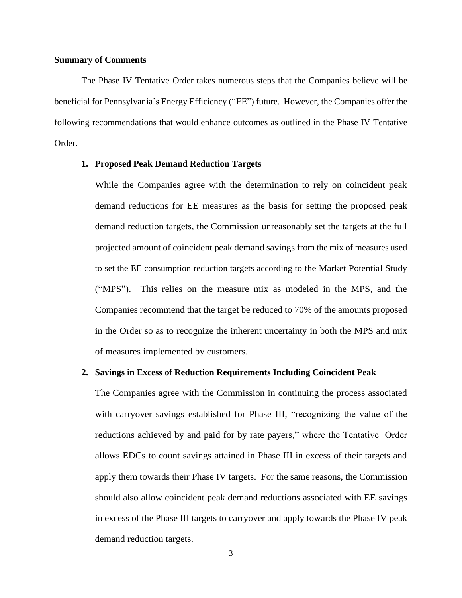#### **Summary of Comments**

The Phase IV Tentative Order takes numerous steps that the Companies believe will be beneficial for Pennsylvania's Energy Efficiency ("EE") future. However, the Companies offer the following recommendations that would enhance outcomes as outlined in the Phase IV Tentative Order.

# **1. Proposed Peak Demand Reduction Targets**

While the Companies agree with the determination to rely on coincident peak demand reductions for EE measures as the basis for setting the proposed peak demand reduction targets, the Commission unreasonably set the targets at the full projected amount of coincident peak demand savings from the mix of measures used to set the EE consumption reduction targets according to the Market Potential Study ("MPS"). This relies on the measure mix as modeled in the MPS, and the Companies recommend that the target be reduced to 70% of the amounts proposed in the Order so as to recognize the inherent uncertainty in both the MPS and mix of measures implemented by customers.

#### **2. Savings in Excess of Reduction Requirements Including Coincident Peak**

The Companies agree with the Commission in continuing the process associated with carryover savings established for Phase III, "recognizing the value of the reductions achieved by and paid for by rate payers," where the Tentative Order allows EDCs to count savings attained in Phase III in excess of their targets and apply them towards their Phase IV targets. For the same reasons, the Commission should also allow coincident peak demand reductions associated with EE savings in excess of the Phase III targets to carryover and apply towards the Phase IV peak demand reduction targets.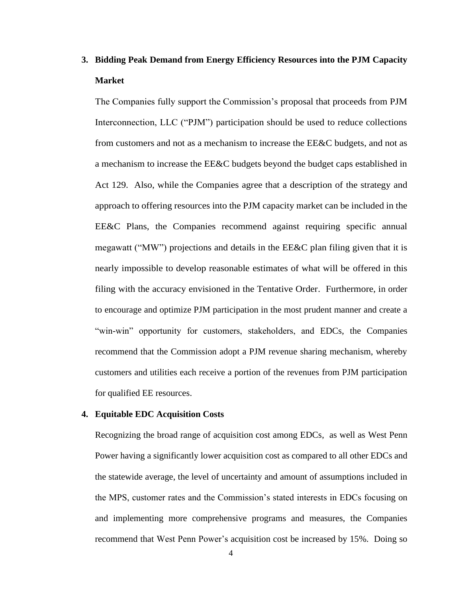# **3. Bidding Peak Demand from Energy Efficiency Resources into the PJM Capacity Market**

The Companies fully support the Commission's proposal that proceeds from PJM Interconnection, LLC ("PJM") participation should be used to reduce collections from customers and not as a mechanism to increase the EE&C budgets, and not as a mechanism to increase the EE&C budgets beyond the budget caps established in Act 129. Also, while the Companies agree that a description of the strategy and approach to offering resources into the PJM capacity market can be included in the EE&C Plans, the Companies recommend against requiring specific annual megawatt ("MW") projections and details in the  $EE\&C$  plan filing given that it is nearly impossible to develop reasonable estimates of what will be offered in this filing with the accuracy envisioned in the Tentative Order. Furthermore, in order to encourage and optimize PJM participation in the most prudent manner and create a "win-win" opportunity for customers, stakeholders, and EDCs, the Companies recommend that the Commission adopt a PJM revenue sharing mechanism, whereby customers and utilities each receive a portion of the revenues from PJM participation for qualified EE resources.

# **4. Equitable EDC Acquisition Costs**

Recognizing the broad range of acquisition cost among EDCs, as well as West Penn Power having a significantly lower acquisition cost as compared to all other EDCs and the statewide average, the level of uncertainty and amount of assumptions included in the MPS, customer rates and the Commission's stated interests in EDCs focusing on and implementing more comprehensive programs and measures, the Companies recommend that West Penn Power's acquisition cost be increased by 15%. Doing so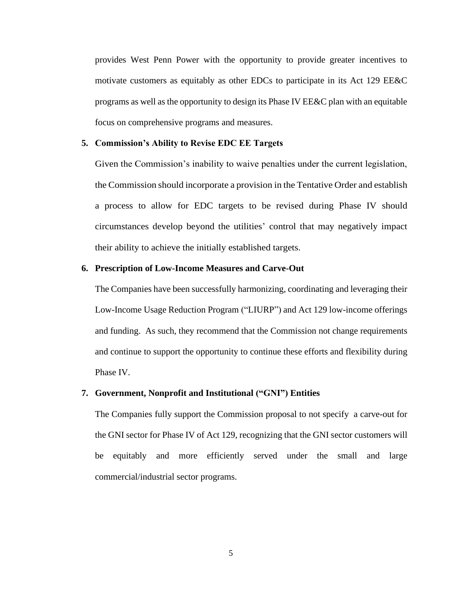provides West Penn Power with the opportunity to provide greater incentives to motivate customers as equitably as other EDCs to participate in its Act 129 EE&C programs as well as the opportunity to design its Phase IV EE&C plan with an equitable focus on comprehensive programs and measures.

#### **5. Commission's Ability to Revise EDC EE Targets**

Given the Commission's inability to waive penalties under the current legislation, the Commission should incorporate a provision in the Tentative Order and establish a process to allow for EDC targets to be revised during Phase IV should circumstances develop beyond the utilities' control that may negatively impact their ability to achieve the initially established targets.

#### **6. Prescription of Low-Income Measures and Carve-Out**

The Companies have been successfully harmonizing, coordinating and leveraging their Low-Income Usage Reduction Program ("LIURP") and Act 129 low-income offerings and funding. As such, they recommend that the Commission not change requirements and continue to support the opportunity to continue these efforts and flexibility during Phase IV.

# **7. Government, Nonprofit and Institutional ("GNI") Entities**

The Companies fully support the Commission proposal to not specify a carve-out for the GNI sector for Phase IV of Act 129, recognizing that the GNI sector customers will be equitably and more efficiently served under the small and large commercial/industrial sector programs.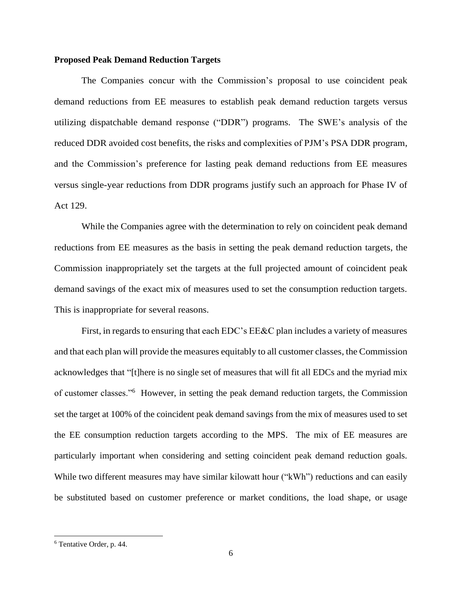#### **Proposed Peak Demand Reduction Targets**

The Companies concur with the Commission's proposal to use coincident peak demand reductions from EE measures to establish peak demand reduction targets versus utilizing dispatchable demand response ("DDR") programs. The SWE's analysis of the reduced DDR avoided cost benefits, the risks and complexities of PJM's PSA DDR program, and the Commission's preference for lasting peak demand reductions from EE measures versus single-year reductions from DDR programs justify such an approach for Phase IV of Act 129.

While the Companies agree with the determination to rely on coincident peak demand reductions from EE measures as the basis in setting the peak demand reduction targets, the Commission inappropriately set the targets at the full projected amount of coincident peak demand savings of the exact mix of measures used to set the consumption reduction targets. This is inappropriate for several reasons.

First, in regards to ensuring that each EDC's EE&C plan includes a variety of measures and that each plan will provide the measures equitably to all customer classes, the Commission acknowledges that "[t]here is no single set of measures that will fit all EDCs and the myriad mix of customer classes."<sup>6</sup> However, in setting the peak demand reduction targets, the Commission set the target at 100% of the coincident peak demand savings from the mix of measures used to set the EE consumption reduction targets according to the MPS. The mix of EE measures are particularly important when considering and setting coincident peak demand reduction goals. While two different measures may have similar kilowatt hour ("kWh") reductions and can easily be substituted based on customer preference or market conditions, the load shape, or usage

<sup>6</sup> Tentative Order, p. 44.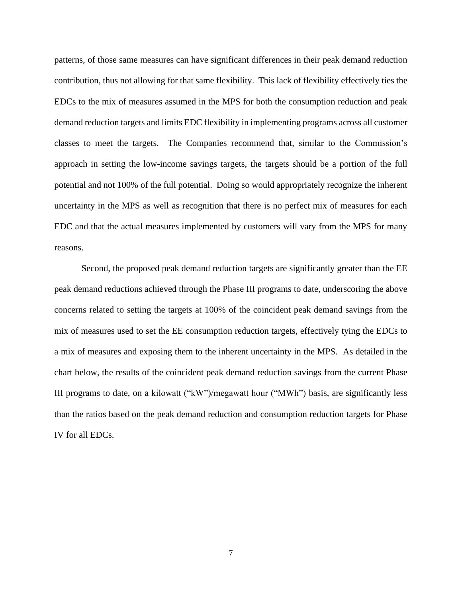patterns, of those same measures can have significant differences in their peak demand reduction contribution, thus not allowing for that same flexibility. This lack of flexibility effectively ties the EDCs to the mix of measures assumed in the MPS for both the consumption reduction and peak demand reduction targets and limits EDC flexibility in implementing programs across all customer classes to meet the targets. The Companies recommend that, similar to the Commission's approach in setting the low-income savings targets, the targets should be a portion of the full potential and not 100% of the full potential. Doing so would appropriately recognize the inherent uncertainty in the MPS as well as recognition that there is no perfect mix of measures for each EDC and that the actual measures implemented by customers will vary from the MPS for many reasons.

Second, the proposed peak demand reduction targets are significantly greater than the EE peak demand reductions achieved through the Phase III programs to date, underscoring the above concerns related to setting the targets at 100% of the coincident peak demand savings from the mix of measures used to set the EE consumption reduction targets, effectively tying the EDCs to a mix of measures and exposing them to the inherent uncertainty in the MPS. As detailed in the chart below, the results of the coincident peak demand reduction savings from the current Phase III programs to date, on a kilowatt ("kW")/megawatt hour ("MWh") basis, are significantly less than the ratios based on the peak demand reduction and consumption reduction targets for Phase IV for all EDCs.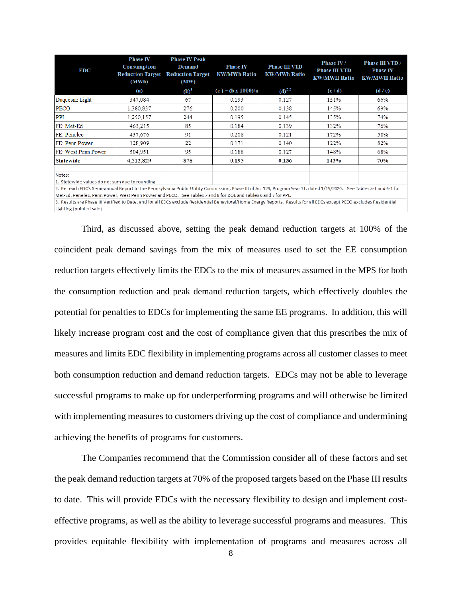| <b>EDC</b>                                                                                                                                                            | <b>Phase IV</b><br><b>Consumption</b><br><b>Reduction Target</b><br>(MWh) | <b>Phase IV Peak</b><br><b>Demand</b><br><b>Reduction Target</b><br>(MW) | <b>Phase IV</b><br><b>KW/MWh Ratio</b> | <b>Phase III VTD</b><br><b>KW/MWh Ratio</b> | <b>Phase IV /</b><br><b>Phase III VTD</b><br><b>KW/MWH Ratio</b> | Phase III VTD /<br><b>Phase IV</b><br><b>KW/MWH Ratio</b> |
|-----------------------------------------------------------------------------------------------------------------------------------------------------------------------|---------------------------------------------------------------------------|--------------------------------------------------------------------------|----------------------------------------|---------------------------------------------|------------------------------------------------------------------|-----------------------------------------------------------|
|                                                                                                                                                                       | (a)                                                                       | (b) <sup>1</sup>                                                         | $(c) = (b \times 1000)/a$              | $(d)^{2,3}$                                 | (c/d)                                                            | (d/c)                                                     |
| Duquesne Light                                                                                                                                                        | 347.084                                                                   | 67                                                                       | 0.193                                  | 0.127                                       | 151%                                                             | 66%                                                       |
| PECO                                                                                                                                                                  | 1,380,837                                                                 | 276                                                                      | 0.200                                  | 0.138                                       | 145%                                                             | 69%                                                       |
| PPL                                                                                                                                                                   | 1,250,157                                                                 | 244                                                                      | 0.195                                  | 0.145                                       | 135%                                                             | 74%                                                       |
| FE: Met-Ed                                                                                                                                                            | 463.215                                                                   | 85                                                                       | 0.184                                  | 0.139                                       | 132%                                                             | 76%                                                       |
| FE: Penelec                                                                                                                                                           | 437.676                                                                   | 91                                                                       | 0.208                                  | 0.121                                       | 172%                                                             | 58%                                                       |
| FE: Penn Power                                                                                                                                                        | 128,909                                                                   | 22                                                                       | 0.171                                  | 0.140                                       | 122%                                                             | 82%                                                       |
| <b>FE: West Penn Power</b>                                                                                                                                            | 504.951                                                                   | 95                                                                       | 0.188                                  | 0.127                                       | 148%                                                             | 68%                                                       |
| <b>Statewide</b>                                                                                                                                                      | 4,512,829                                                                 | 878                                                                      | 0.195                                  | 0.136                                       | 143%                                                             | 70%                                                       |
| Notes:                                                                                                                                                                |                                                                           |                                                                          |                                        |                                             |                                                                  |                                                           |
| 1. Statewide values do not sum due to rounding                                                                                                                        |                                                                           |                                                                          |                                        |                                             |                                                                  |                                                           |
| 2. Per each EDC's Semi-annual Report to the Pennsylvania Public Utility Commission, Phase III of Act 129, Program Year 11, dated 1/15/2020 See Tables 5-1 and 6-1 for |                                                                           |                                                                          |                                        |                                             |                                                                  |                                                           |

Met-Ed, Penelec, Penn Power, West Penn Power and PECO. See Tables 7 and 8 for DQE and Tables 6 and 7 for PPL.

3. Results are Phase III Verified to Date, and for all EDCs exclude Residential Behavioral/Home Energy Reports, Results for all EDCs except PECO excludes Residential Lighting (point of sale).

Third, as discussed above, setting the peak demand reduction targets at 100% of the coincident peak demand savings from the mix of measures used to set the EE consumption reduction targets effectively limits the EDCs to the mix of measures assumed in the MPS for both the consumption reduction and peak demand reduction targets, which effectively doubles the potential for penalties to EDCs for implementing the same EE programs. In addition, this will likely increase program cost and the cost of compliance given that this prescribes the mix of measures and limits EDC flexibility in implementing programs across all customer classes to meet both consumption reduction and demand reduction targets. EDCs may not be able to leverage successful programs to make up for underperforming programs and will otherwise be limited with implementing measures to customers driving up the cost of compliance and undermining achieving the benefits of programs for customers.

The Companies recommend that the Commission consider all of these factors and set the peak demand reduction targets at 70% of the proposed targets based on the Phase III results to date. This will provide EDCs with the necessary flexibility to design and implement costeffective programs, as well as the ability to leverage successful programs and measures. This provides equitable flexibility with implementation of programs and measures across all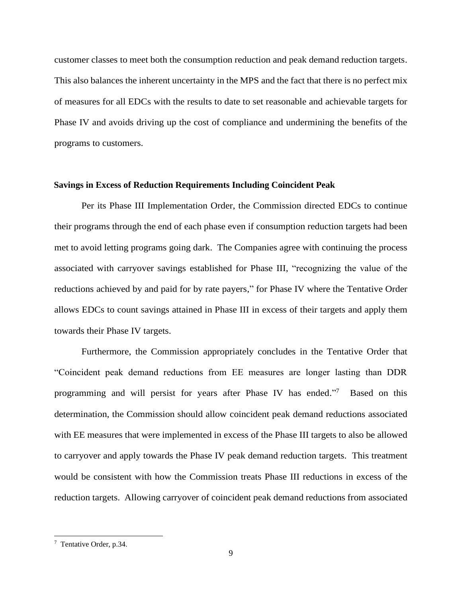customer classes to meet both the consumption reduction and peak demand reduction targets. This also balances the inherent uncertainty in the MPS and the fact that there is no perfect mix of measures for all EDCs with the results to date to set reasonable and achievable targets for Phase IV and avoids driving up the cost of compliance and undermining the benefits of the programs to customers.

#### **Savings in Excess of Reduction Requirements Including Coincident Peak**

Per its Phase III Implementation Order, the Commission directed EDCs to continue their programs through the end of each phase even if consumption reduction targets had been met to avoid letting programs going dark. The Companies agree with continuing the process associated with carryover savings established for Phase III, "recognizing the value of the reductions achieved by and paid for by rate payers," for Phase IV where the Tentative Order allows EDCs to count savings attained in Phase III in excess of their targets and apply them towards their Phase IV targets.

Furthermore, the Commission appropriately concludes in the Tentative Order that "Coincident peak demand reductions from EE measures are longer lasting than DDR programming and will persist for years after Phase IV has ended."<sup>7</sup> Based on this determination, the Commission should allow coincident peak demand reductions associated with EE measures that were implemented in excess of the Phase III targets to also be allowed to carryover and apply towards the Phase IV peak demand reduction targets. This treatment would be consistent with how the Commission treats Phase III reductions in excess of the reduction targets. Allowing carryover of coincident peak demand reductions from associated

<sup>&</sup>lt;sup>7</sup> Tentative Order, p.34.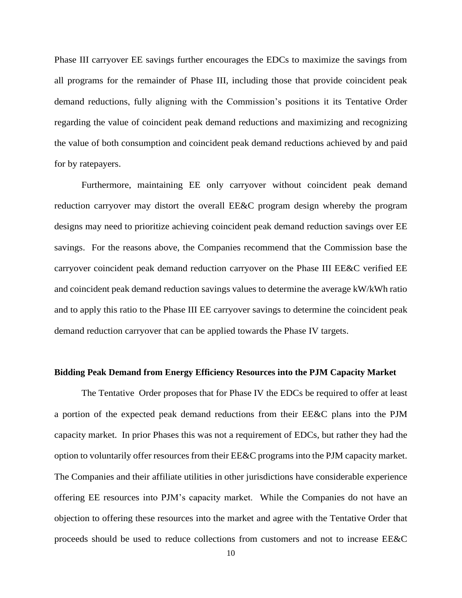Phase III carryover EE savings further encourages the EDCs to maximize the savings from all programs for the remainder of Phase III, including those that provide coincident peak demand reductions, fully aligning with the Commission's positions it its Tentative Order regarding the value of coincident peak demand reductions and maximizing and recognizing the value of both consumption and coincident peak demand reductions achieved by and paid for by ratepayers.

Furthermore, maintaining EE only carryover without coincident peak demand reduction carryover may distort the overall EE&C program design whereby the program designs may need to prioritize achieving coincident peak demand reduction savings over EE savings. For the reasons above, the Companies recommend that the Commission base the carryover coincident peak demand reduction carryover on the Phase III EE&C verified EE and coincident peak demand reduction savings values to determine the average kW/kWh ratio and to apply this ratio to the Phase III EE carryover savings to determine the coincident peak demand reduction carryover that can be applied towards the Phase IV targets.

#### **Bidding Peak Demand from Energy Efficiency Resources into the PJM Capacity Market**

The Tentative Order proposes that for Phase IV the EDCs be required to offer at least a portion of the expected peak demand reductions from their EE&C plans into the PJM capacity market. In prior Phases this was not a requirement of EDCs, but rather they had the option to voluntarily offer resources from their EE&C programs into the PJM capacity market. The Companies and their affiliate utilities in other jurisdictions have considerable experience offering EE resources into PJM's capacity market. While the Companies do not have an objection to offering these resources into the market and agree with the Tentative Order that proceeds should be used to reduce collections from customers and not to increase EE&C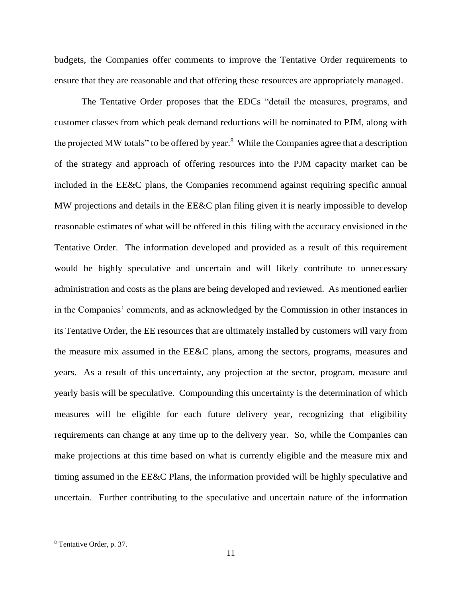budgets, the Companies offer comments to improve the Tentative Order requirements to ensure that they are reasonable and that offering these resources are appropriately managed.

The Tentative Order proposes that the EDCs "detail the measures, programs, and customer classes from which peak demand reductions will be nominated to PJM, along with the projected MW totals" to be offered by year.<sup>8</sup> While the Companies agree that a description of the strategy and approach of offering resources into the PJM capacity market can be included in the EE&C plans, the Companies recommend against requiring specific annual MW projections and details in the EE&C plan filing given it is nearly impossible to develop reasonable estimates of what will be offered in this filing with the accuracy envisioned in the Tentative Order. The information developed and provided as a result of this requirement would be highly speculative and uncertain and will likely contribute to unnecessary administration and costs as the plans are being developed and reviewed. As mentioned earlier in the Companies' comments, and as acknowledged by the Commission in other instances in its Tentative Order, the EE resources that are ultimately installed by customers will vary from the measure mix assumed in the EE&C plans, among the sectors, programs, measures and years. As a result of this uncertainty, any projection at the sector, program, measure and yearly basis will be speculative. Compounding this uncertainty is the determination of which measures will be eligible for each future delivery year, recognizing that eligibility requirements can change at any time up to the delivery year. So, while the Companies can make projections at this time based on what is currently eligible and the measure mix and timing assumed in the EE&C Plans, the information provided will be highly speculative and uncertain. Further contributing to the speculative and uncertain nature of the information

<sup>8</sup> Tentative Order, p. 37.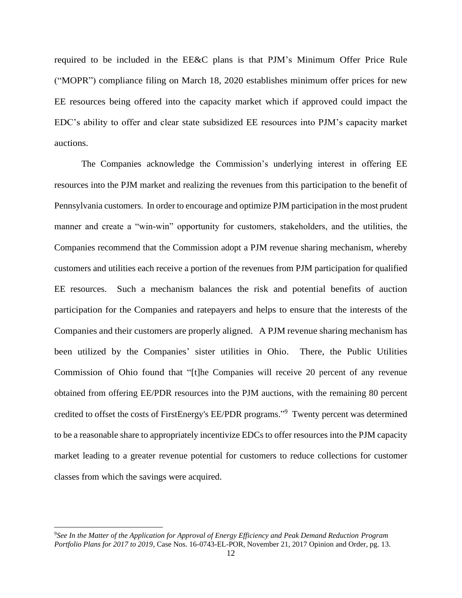required to be included in the EE&C plans is that PJM's Minimum Offer Price Rule ("MOPR") compliance filing on March 18, 2020 establishes minimum offer prices for new EE resources being offered into the capacity market which if approved could impact the EDC's ability to offer and clear state subsidized EE resources into PJM's capacity market auctions.

The Companies acknowledge the Commission's underlying interest in offering EE resources into the PJM market and realizing the revenues from this participation to the benefit of Pennsylvania customers. In order to encourage and optimize PJM participation in the most prudent manner and create a "win-win" opportunity for customers, stakeholders, and the utilities, the Companies recommend that the Commission adopt a PJM revenue sharing mechanism, whereby customers and utilities each receive a portion of the revenues from PJM participation for qualified EE resources. Such a mechanism balances the risk and potential benefits of auction participation for the Companies and ratepayers and helps to ensure that the interests of the Companies and their customers are properly aligned. A PJM revenue sharing mechanism has been utilized by the Companies' sister utilities in Ohio. There, the Public Utilities Commission of Ohio found that "[t]he Companies will receive 20 percent of any revenue obtained from offering EE/PDR resources into the PJM auctions, with the remaining 80 percent credited to offset the costs of FirstEnergy's EE/PDR programs." <sup>9</sup> Twenty percent was determined to be a reasonable share to appropriately incentivize EDCs to offer resources into the PJM capacity market leading to a greater revenue potential for customers to reduce collections for customer classes from which the savings were acquired.

<sup>9</sup>*See In the Matter of the Application for Approval of Energy Efficiency and Peak Demand Reduction Program Portfolio Plans for 2017 to 2019*, Case Nos. 16-0743-EL-POR*,* November 21, 2017 Opinion and Order, pg. 13.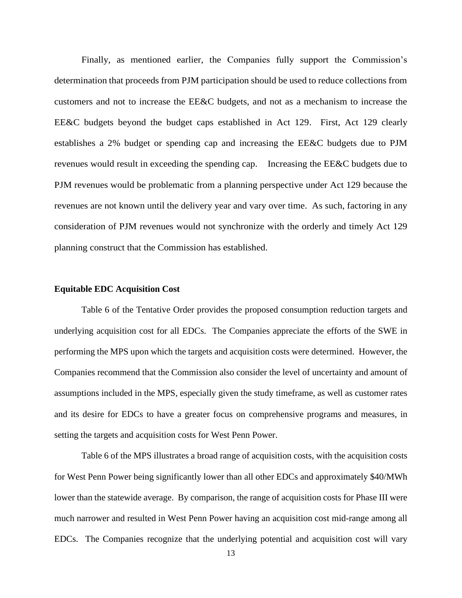Finally, as mentioned earlier, the Companies fully support the Commission's determination that proceeds from PJM participation should be used to reduce collections from customers and not to increase the EE&C budgets, and not as a mechanism to increase the EE&C budgets beyond the budget caps established in Act 129. First, Act 129 clearly establishes a 2% budget or spending cap and increasing the EE&C budgets due to PJM revenues would result in exceeding the spending cap. Increasing the EE&C budgets due to PJM revenues would be problematic from a planning perspective under Act 129 because the revenues are not known until the delivery year and vary over time. As such, factoring in any consideration of PJM revenues would not synchronize with the orderly and timely Act 129 planning construct that the Commission has established.

### **Equitable EDC Acquisition Cost**

Table 6 of the Tentative Order provides the proposed consumption reduction targets and underlying acquisition cost for all EDCs. The Companies appreciate the efforts of the SWE in performing the MPS upon which the targets and acquisition costs were determined. However, the Companies recommend that the Commission also consider the level of uncertainty and amount of assumptions included in the MPS, especially given the study timeframe, as well as customer rates and its desire for EDCs to have a greater focus on comprehensive programs and measures, in setting the targets and acquisition costs for West Penn Power.

Table 6 of the MPS illustrates a broad range of acquisition costs, with the acquisition costs for West Penn Power being significantly lower than all other EDCs and approximately \$40/MWh lower than the statewide average. By comparison, the range of acquisition costs for Phase III were much narrower and resulted in West Penn Power having an acquisition cost mid-range among all EDCs. The Companies recognize that the underlying potential and acquisition cost will vary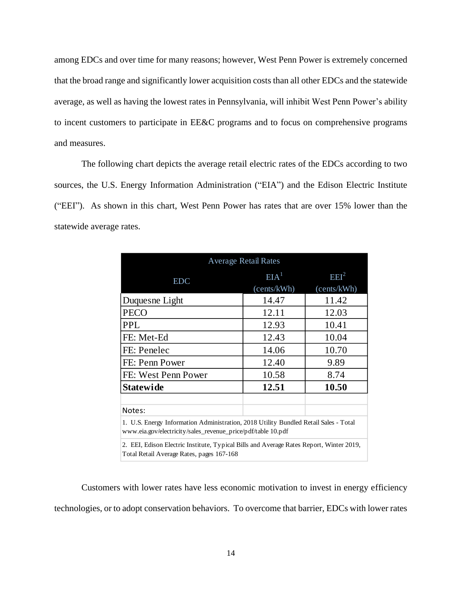among EDCs and over time for many reasons; however, West Penn Power is extremely concerned that the broad range and significantly lower acquisition costs than all other EDCs and the statewide average, as well as having the lowest rates in Pennsylvania, will inhibit West Penn Power's ability to incent customers to participate in EE&C programs and to focus on comprehensive programs and measures.

The following chart depicts the average retail electric rates of the EDCs according to two sources, the U.S. Energy Information Administration ("EIA") and the Edison Electric Institute ("EEI"). As shown in this chart, West Penn Power has rates that are over 15% lower than the statewide average rates.

| <b>Average Retail Rates</b>                                                                                                                          |                                 |                                 |  |  |  |  |
|------------------------------------------------------------------------------------------------------------------------------------------------------|---------------------------------|---------------------------------|--|--|--|--|
| <b>EDC</b>                                                                                                                                           | EIA <sup>1</sup><br>(cents/kWh) | EEI <sup>2</sup><br>(cents/kWh) |  |  |  |  |
| Duquesne Light                                                                                                                                       | 14.47                           | 11.42                           |  |  |  |  |
| <b>PECO</b>                                                                                                                                          | 12.11                           | 12.03                           |  |  |  |  |
| <b>PPL</b>                                                                                                                                           | 12.93                           | 10.41                           |  |  |  |  |
| FE: Met-Ed                                                                                                                                           | 12.43                           | 10.04                           |  |  |  |  |
| FE: Penelec                                                                                                                                          | 14.06                           | 10.70                           |  |  |  |  |
| FE: Penn Power                                                                                                                                       | 12.40                           | 9.89                            |  |  |  |  |
| FE: West Penn Power                                                                                                                                  | 10.58                           | 8.74                            |  |  |  |  |
| <b>Statewide</b>                                                                                                                                     | 12.51                           | 10.50                           |  |  |  |  |
| Notes:                                                                                                                                               |                                 |                                 |  |  |  |  |
| 1. U.S. Energy Information Administration, 2018 Utility Bundled Retail Sales - Total<br>www.eia.gov/electricity/sales_revenue_price/pdf/table 10.pdf |                                 |                                 |  |  |  |  |
| 2. EEI, Edison Electric Institute, Typical Bills and Average Rates Report, Winter 2019,<br>Total Retail Average Rates, pages 167-168                 |                                 |                                 |  |  |  |  |

Customers with lower rates have less economic motivation to invest in energy efficiency technologies, or to adopt conservation behaviors. To overcome that barrier, EDCs with lower rates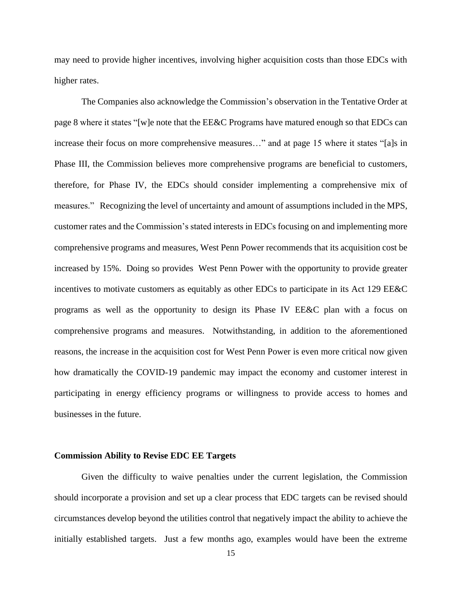may need to provide higher incentives, involving higher acquisition costs than those EDCs with higher rates.

The Companies also acknowledge the Commission's observation in the Tentative Order at page 8 where it states "[w]e note that the EE&C Programs have matured enough so that EDCs can increase their focus on more comprehensive measures…" and at page 15 where it states "[a]s in Phase III, the Commission believes more comprehensive programs are beneficial to customers, therefore, for Phase IV, the EDCs should consider implementing a comprehensive mix of measures." Recognizing the level of uncertainty and amount of assumptions included in the MPS, customer rates and the Commission's stated interests in EDCs focusing on and implementing more comprehensive programs and measures, West Penn Power recommends that its acquisition cost be increased by 15%. Doing so provides West Penn Power with the opportunity to provide greater incentives to motivate customers as equitably as other EDCs to participate in its Act 129 EE&C programs as well as the opportunity to design its Phase IV EE&C plan with a focus on comprehensive programs and measures. Notwithstanding, in addition to the aforementioned reasons, the increase in the acquisition cost for West Penn Power is even more critical now given how dramatically the COVID-19 pandemic may impact the economy and customer interest in participating in energy efficiency programs or willingness to provide access to homes and businesses in the future.

#### **Commission Ability to Revise EDC EE Targets**

Given the difficulty to waive penalties under the current legislation, the Commission should incorporate a provision and set up a clear process that EDC targets can be revised should circumstances develop beyond the utilities control that negatively impact the ability to achieve the initially established targets. Just a few months ago, examples would have been the extreme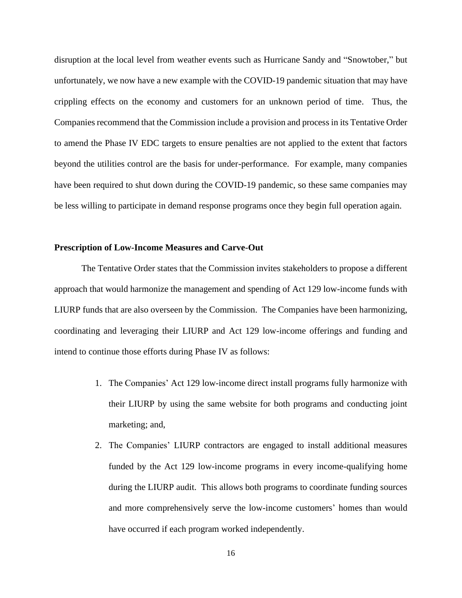disruption at the local level from weather events such as Hurricane Sandy and "Snowtober," but unfortunately, we now have a new example with the COVID-19 pandemic situation that may have crippling effects on the economy and customers for an unknown period of time. Thus, the Companies recommend that the Commission include a provision and process in its Tentative Order to amend the Phase IV EDC targets to ensure penalties are not applied to the extent that factors beyond the utilities control are the basis for under-performance. For example, many companies have been required to shut down during the COVID-19 pandemic, so these same companies may be less willing to participate in demand response programs once they begin full operation again.

# **Prescription of Low-Income Measures and Carve-Out**

The Tentative Order states that the Commission invites stakeholders to propose a different approach that would harmonize the management and spending of Act 129 low-income funds with LIURP funds that are also overseen by the Commission. The Companies have been harmonizing, coordinating and leveraging their LIURP and Act 129 low-income offerings and funding and intend to continue those efforts during Phase IV as follows:

- 1. The Companies' Act 129 low-income direct install programs fully harmonize with their LIURP by using the same website for both programs and conducting joint marketing; and,
- 2. The Companies' LIURP contractors are engaged to install additional measures funded by the Act 129 low-income programs in every income-qualifying home during the LIURP audit. This allows both programs to coordinate funding sources and more comprehensively serve the low-income customers' homes than would have occurred if each program worked independently.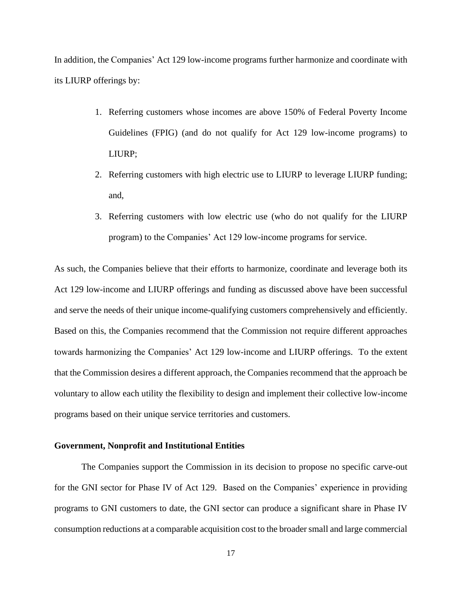In addition, the Companies' Act 129 low-income programs further harmonize and coordinate with its LIURP offerings by:

- 1. Referring customers whose incomes are above 150% of Federal Poverty Income Guidelines (FPIG) (and do not qualify for Act 129 low-income programs) to LIURP;
- 2. Referring customers with high electric use to LIURP to leverage LIURP funding; and,
- 3. Referring customers with low electric use (who do not qualify for the LIURP program) to the Companies' Act 129 low-income programs for service.

As such, the Companies believe that their efforts to harmonize, coordinate and leverage both its Act 129 low-income and LIURP offerings and funding as discussed above have been successful and serve the needs of their unique income-qualifying customers comprehensively and efficiently. Based on this, the Companies recommend that the Commission not require different approaches towards harmonizing the Companies' Act 129 low-income and LIURP offerings. To the extent that the Commission desires a different approach, the Companies recommend that the approach be voluntary to allow each utility the flexibility to design and implement their collective low-income programs based on their unique service territories and customers.

# **Government, Nonprofit and Institutional Entities**

The Companies support the Commission in its decision to propose no specific carve-out for the GNI sector for Phase IV of Act 129. Based on the Companies' experience in providing programs to GNI customers to date, the GNI sector can produce a significant share in Phase IV consumption reductions at a comparable acquisition cost to the broader small and large commercial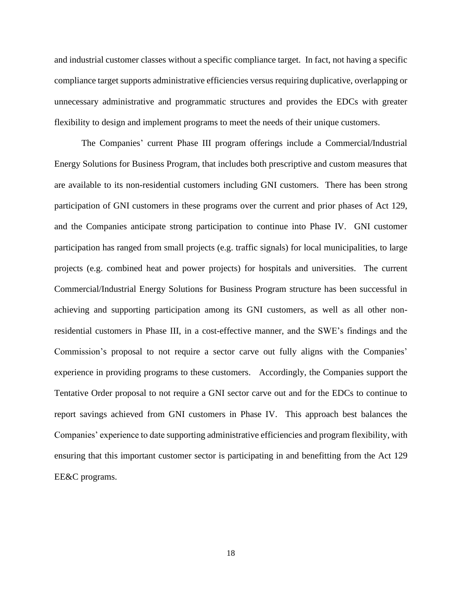and industrial customer classes without a specific compliance target. In fact, not having a specific compliance target supports administrative efficiencies versus requiring duplicative, overlapping or unnecessary administrative and programmatic structures and provides the EDCs with greater flexibility to design and implement programs to meet the needs of their unique customers.

The Companies' current Phase III program offerings include a Commercial/Industrial Energy Solutions for Business Program, that includes both prescriptive and custom measures that are available to its non-residential customers including GNI customers. There has been strong participation of GNI customers in these programs over the current and prior phases of Act 129, and the Companies anticipate strong participation to continue into Phase IV. GNI customer participation has ranged from small projects (e.g. traffic signals) for local municipalities, to large projects (e.g. combined heat and power projects) for hospitals and universities. The current Commercial/Industrial Energy Solutions for Business Program structure has been successful in achieving and supporting participation among its GNI customers, as well as all other nonresidential customers in Phase III, in a cost-effective manner, and the SWE's findings and the Commission's proposal to not require a sector carve out fully aligns with the Companies' experience in providing programs to these customers. Accordingly, the Companies support the Tentative Order proposal to not require a GNI sector carve out and for the EDCs to continue to report savings achieved from GNI customers in Phase IV. This approach best balances the Companies' experience to date supporting administrative efficiencies and program flexibility, with ensuring that this important customer sector is participating in and benefitting from the Act 129 EE&C programs.